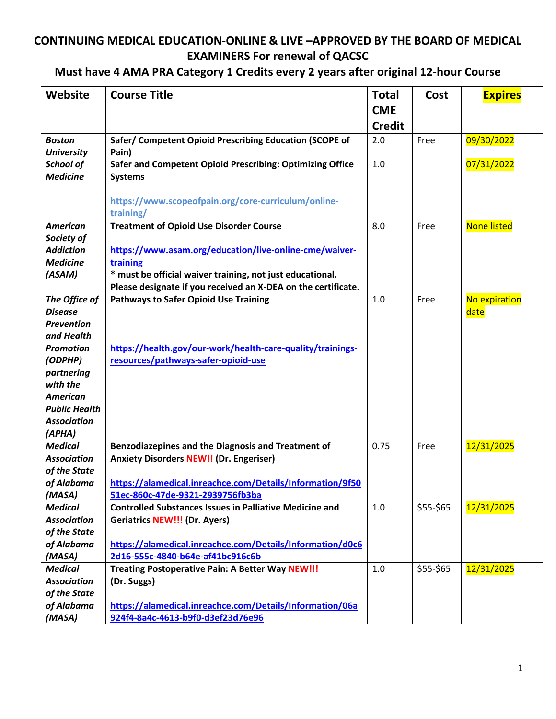#### **Must have 4 AMA PRA Category 1 Credits every 2 years after original 12-hour Course**

| <b>Website</b>                  | <b>Course Title</b>                                                         | <b>Total</b><br><b>CME</b><br><b>Credit</b> | Cost      | <b>Expires</b>     |
|---------------------------------|-----------------------------------------------------------------------------|---------------------------------------------|-----------|--------------------|
| <b>Boston</b>                   | Safer/ Competent Opioid Prescribing Education (SCOPE of                     | 2.0                                         | Free      | 09/30/2022         |
| <b>University</b>               | Pain)                                                                       |                                             |           |                    |
| School of<br><b>Medicine</b>    | Safer and Competent Opioid Prescribing: Optimizing Office<br><b>Systems</b> | 1.0                                         |           | 07/31/2022         |
|                                 |                                                                             |                                             |           |                    |
|                                 | https://www.scopeofpain.org/core-curriculum/online-<br>training/            |                                             |           |                    |
| <b>American</b>                 | <b>Treatment of Opioid Use Disorder Course</b>                              | 8.0                                         | Free      | <b>None listed</b> |
| Society of                      |                                                                             |                                             |           |                    |
| <b>Addiction</b>                | https://www.asam.org/education/live-online-cme/waiver-                      |                                             |           |                    |
| <b>Medicine</b>                 | training                                                                    |                                             |           |                    |
| (ASAM)                          | * must be official waiver training, not just educational.                   |                                             |           |                    |
|                                 | Please designate if you received an X-DEA on the certificate.               |                                             |           |                    |
| The Office of                   | <b>Pathways to Safer Opioid Use Training</b>                                | 1.0                                         | Free      | No expiration      |
| <b>Disease</b>                  |                                                                             |                                             |           | date               |
| <b>Prevention</b><br>and Health |                                                                             |                                             |           |                    |
| <b>Promotion</b>                | https://health.gov/our-work/health-care-quality/trainings-                  |                                             |           |                    |
| (ODPHP)                         | resources/pathways-safer-opioid-use                                         |                                             |           |                    |
| partnering                      |                                                                             |                                             |           |                    |
| with the                        |                                                                             |                                             |           |                    |
| <b>American</b>                 |                                                                             |                                             |           |                    |
| <b>Public Health</b>            |                                                                             |                                             |           |                    |
| <b>Association</b>              |                                                                             |                                             |           |                    |
| (APHA)                          |                                                                             |                                             |           |                    |
| <b>Medical</b>                  | Benzodiazepines and the Diagnosis and Treatment of                          | 0.75                                        | Free      | 12/31/2025         |
| <b>Association</b>              | <b>Anxiety Disorders NEW!! (Dr. Engeriser)</b>                              |                                             |           |                    |
| of the State                    |                                                                             |                                             |           |                    |
| of Alabama                      | https://alamedical.inreachce.com/Details/Information/9f50                   |                                             |           |                    |
| (MASA)                          | 51ec-860c-47de-9321-2939756fb3ba                                            |                                             |           |                    |
| <b>Medical</b>                  | <b>Controlled Substances Issues in Palliative Medicine and</b>              | 1.0                                         | \$55-\$65 | 12/31/2025         |
| <b>Association</b>              | <b>Geriatrics NEW!!! (Dr. Ayers)</b>                                        |                                             |           |                    |
| of the State                    |                                                                             |                                             |           |                    |
| of Alabama                      | https://alamedical.inreachce.com/Details/Information/d0c6                   |                                             |           |                    |
| (MASA)                          | 2d16-555c-4840-b64e-af41bc916c6b                                            |                                             |           |                    |
| <b>Medical</b>                  | Treating Postoperative Pain: A Better Way NEW!!!                            | 1.0                                         | \$55-\$65 | 12/31/2025         |
| <b>Association</b>              | (Dr. Suggs)                                                                 |                                             |           |                    |
| of the State                    |                                                                             |                                             |           |                    |
| of Alabama                      | https://alamedical.inreachce.com/Details/Information/06a                    |                                             |           |                    |
| (MASA)                          | 924f4-8a4c-4613-b9f0-d3ef23d76e96                                           |                                             |           |                    |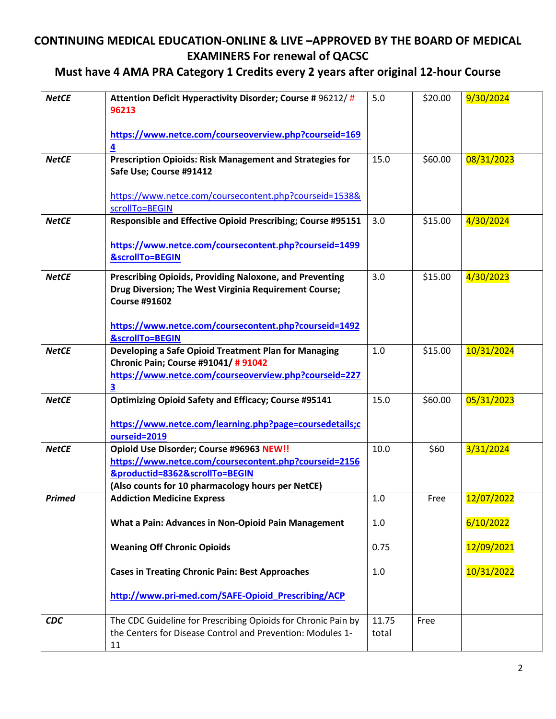#### **Must have 4 AMA PRA Category 1 Credits every 2 years after original 12-hour Course**

| <b>NetCE</b>  | Attention Deficit Hyperactivity Disorder; Course #96212/#<br>96213                                                                                                                       | 5.0            | \$20.00 | 9/30/2024  |
|---------------|------------------------------------------------------------------------------------------------------------------------------------------------------------------------------------------|----------------|---------|------------|
|               | https://www.netce.com/courseoverview.php?courseid=169<br>4                                                                                                                               |                |         |            |
| <b>NetCE</b>  | Prescription Opioids: Risk Management and Strategies for<br>Safe Use; Course #91412                                                                                                      | 15.0           | \$60.00 | 08/31/2023 |
|               | https://www.netce.com/coursecontent.php?courseid=1538&<br>scrollTo=BEGIN                                                                                                                 |                |         |            |
| <b>NetCE</b>  | Responsible and Effective Opioid Prescribing; Course #95151                                                                                                                              | 3.0            | \$15.00 | 4/30/2024  |
|               | https://www.netce.com/coursecontent.php?courseid=1499<br><b>&amp;scrollTo=BEGIN</b>                                                                                                      |                |         |            |
| <b>NetCE</b>  | Prescribing Opioids, Providing Naloxone, and Preventing<br>Drug Diversion; The West Virginia Requirement Course;<br><b>Course #91602</b>                                                 | 3.0            | \$15.00 | 4/30/2023  |
|               | https://www.netce.com/coursecontent.php?courseid=1492<br><b>&amp;scrollTo=BEGIN</b>                                                                                                      |                |         |            |
| <b>NetCE</b>  | Developing a Safe Opioid Treatment Plan for Managing<br>Chronic Pain; Course #91041/ # 91042<br>https://www.netce.com/courseoverview.php?courseid=227<br>3                               | 1.0            | \$15.00 | 10/31/2024 |
| <b>NetCE</b>  | <b>Optimizing Opioid Safety and Efficacy; Course #95141</b><br>https://www.netce.com/learning.php?page=coursedetails;c<br>ourseid=2019                                                   | 15.0           | \$60.00 | 05/31/2023 |
| <b>NetCE</b>  | Opioid Use Disorder; Course #96963 NEW!!<br>https://www.netce.com/coursecontent.php?courseid=2156<br>&productid=8362&scrollTo=BEGIN<br>(Also counts for 10 pharmacology hours per NetCE) | 10.0           | \$60    | 3/31/2024  |
| <b>Primed</b> | <b>Addiction Medicine Express</b>                                                                                                                                                        | 1.0            | Free    | 12/07/2022 |
|               | What a Pain: Advances in Non-Opioid Pain Management                                                                                                                                      | 1.0            |         | 6/10/2022  |
|               | <b>Weaning Off Chronic Opioids</b>                                                                                                                                                       | 0.75           |         | 12/09/2021 |
|               | <b>Cases in Treating Chronic Pain: Best Approaches</b>                                                                                                                                   | 1.0            |         | 10/31/2022 |
|               | http://www.pri-med.com/SAFE-Opioid Prescribing/ACP                                                                                                                                       |                |         |            |
| <b>CDC</b>    | The CDC Guideline for Prescribing Opioids for Chronic Pain by<br>the Centers for Disease Control and Prevention: Modules 1-<br>11                                                        | 11.75<br>total | Free    |            |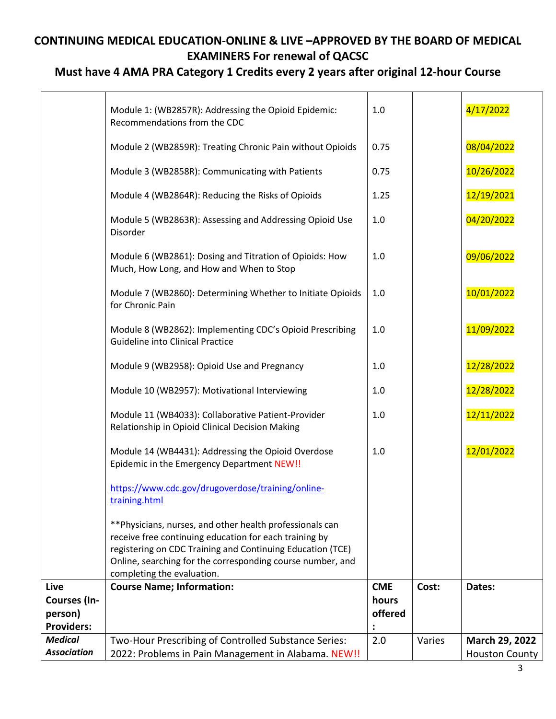#### **Must have 4 AMA PRA Category 1 Credits every 2 years after original 12-hour Course**

|                                                      | Module 1: (WB2857R): Addressing the Opioid Epidemic:<br>Recommendations from the CDC                                                                                                                                                                                          | 1.0                            |        | 4/17/2022                               |
|------------------------------------------------------|-------------------------------------------------------------------------------------------------------------------------------------------------------------------------------------------------------------------------------------------------------------------------------|--------------------------------|--------|-----------------------------------------|
|                                                      | Module 2 (WB2859R): Treating Chronic Pain without Opioids                                                                                                                                                                                                                     | 0.75                           |        | 08/04/2022                              |
|                                                      | Module 3 (WB2858R): Communicating with Patients                                                                                                                                                                                                                               | 0.75                           |        | 10/26/2022                              |
|                                                      | Module 4 (WB2864R): Reducing the Risks of Opioids                                                                                                                                                                                                                             | 1.25                           |        | 12/19/2021                              |
|                                                      | Module 5 (WB2863R): Assessing and Addressing Opioid Use<br>Disorder                                                                                                                                                                                                           | 1.0                            |        | 04/20/2022                              |
|                                                      | Module 6 (WB2861): Dosing and Titration of Opioids: How<br>Much, How Long, and How and When to Stop                                                                                                                                                                           | 1.0                            |        | 09/06/2022                              |
|                                                      | Module 7 (WB2860): Determining Whether to Initiate Opioids<br>for Chronic Pain                                                                                                                                                                                                | 1.0                            |        | 10/01/2022                              |
|                                                      | Module 8 (WB2862): Implementing CDC's Opioid Prescribing<br>Guideline into Clinical Practice                                                                                                                                                                                  | 1.0                            |        | 11/09/2022                              |
|                                                      | Module 9 (WB2958): Opioid Use and Pregnancy                                                                                                                                                                                                                                   | 1.0                            |        | 12/28/2022                              |
|                                                      | Module 10 (WB2957): Motivational Interviewing                                                                                                                                                                                                                                 | 1.0                            |        | 12/28/2022                              |
|                                                      | Module 11 (WB4033): Collaborative Patient-Provider<br>Relationship in Opioid Clinical Decision Making                                                                                                                                                                         | 1.0                            |        | 12/11/2022                              |
|                                                      | Module 14 (WB4431): Addressing the Opioid Overdose<br>Epidemic in the Emergency Department NEW!!                                                                                                                                                                              | 1.0                            |        | 12/01/2022                              |
|                                                      | https://www.cdc.gov/drugoverdose/training/online-<br>training.html                                                                                                                                                                                                            |                                |        |                                         |
|                                                      | ** Physicians, nurses, and other health professionals can<br>receive free continuing education for each training by<br>registering on CDC Training and Continuing Education (TCE)<br>Online, searching for the corresponding course number, and<br>completing the evaluation. |                                |        |                                         |
| Live<br>Courses (In-<br>person)<br><b>Providers:</b> | <b>Course Name; Information:</b>                                                                                                                                                                                                                                              | <b>CME</b><br>hours<br>offered | Cost:  | Dates:                                  |
| <b>Medical</b><br><b>Association</b>                 | Two-Hour Prescribing of Controlled Substance Series:<br>2022: Problems in Pain Management in Alabama. NEW!!                                                                                                                                                                   | 2.0                            | Varies | March 29, 2022<br><b>Houston County</b> |